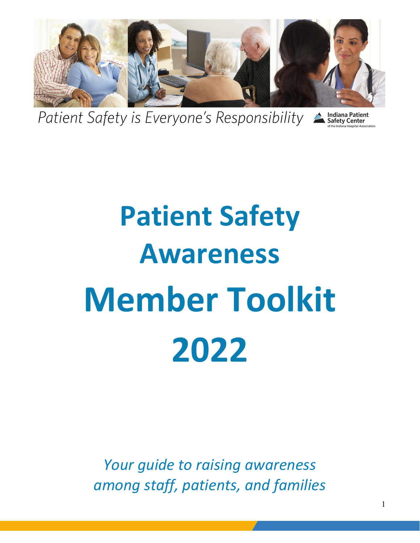

Patient Safety is Everyone's Responsibility

**Indiana Patient<br>Safety Center** 

## **Patient Safety Awareness Member Toolkit 2022**

*Your guide to raising awareness among staff, patients, and families*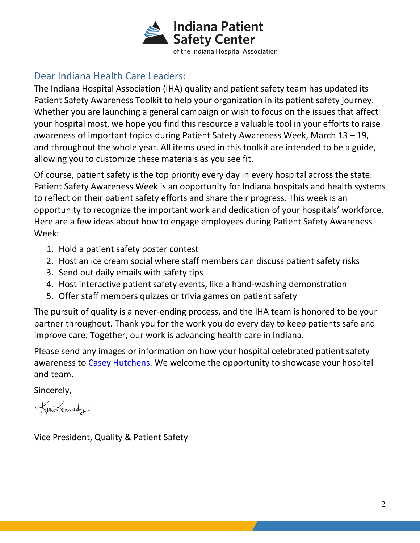

## Dear Indiana Health Care Leaders:

The Indiana Hospital Association (IHA) quality and patient safety team has updated its Patient Safety Awareness Toolkit to help your organization in its patient safety journey. Whether you are launching a general campaign or wish to focus on the issues that affect your hospital most, we hope you find this resource a valuable tool in your efforts to raise awareness of important topics during Patient Safety Awareness Week, March 13 – 19, and throughout the whole year. All items used in this toolkit are intended to be a guide, allowing you to customize these materials as you see fit.

Of course, patient safety is the top priority every day in every hospital across the state. Patient Safety Awareness Week is an opportunity for Indiana hospitals and health systems to reflect on their patient safety efforts and share their progress. This week is an opportunity to recognize the important work and dedication of your hospitals' workforce. Here are a few ideas about how to engage employees during Patient Safety Awareness Week:

- 1. Hold a patient safety poster contest
- 2. Host an ice cream social where staff members can discuss patient safety risks
- 3. Send out daily emails with safety tips
- 4. Host interactive patient safety events, like a hand-washing demonstration
- 5. Offer staff members quizzes or trivia games on patient safety

The pursuit of quality is a never-ending process, and the IHA team is honored to be your partner throughout. Thank you for the work you do every day to keep patients safe and improve care. Together, our work is advancing health care in Indiana.

Please send any images or information on how your hospital celebrated patient safety awareness to [Casey Hutchens.](mailto:chutchens@ihaconnect.org) We welcome the opportunity to showcase your hospital and team.

Sincerely,

Karintennedy

Vice President, Quality & Patient Safety